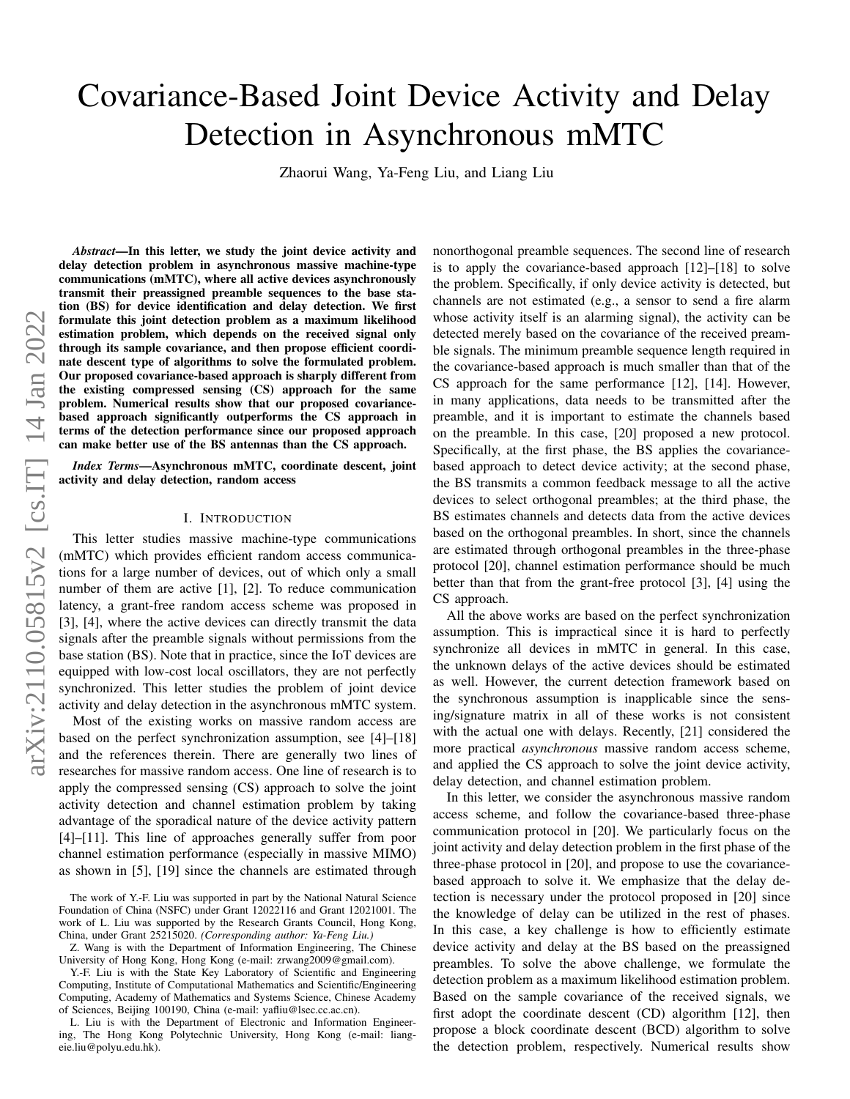# Covariance-Based Joint Device Activity and Delay Detection in Asynchronous mMTC

Zhaorui Wang, Ya-Feng Liu, and Liang Liu

arXiv:2110.05815v2 [cs.IT] 14 Jan 2022 arXiv:2110.05815v2 [cs.IT] 14 Jan 2022

*Abstract*—In this letter, we study the joint device activity and delay detection problem in asynchronous massive machine-type communications (mMTC), where all active devices asynchronously transmit their preassigned preamble sequences to the base station (BS) for device identification and delay detection. We first formulate this joint detection problem as a maximum likelihood estimation problem, which depends on the received signal only through its sample covariance, and then propose efficient coordinate descent type of algorithms to solve the formulated problem. Our proposed covariance-based approach is sharply different from the existing compressed sensing (CS) approach for the same problem. Numerical results show that our proposed covariancebased approach significantly outperforms the CS approach in terms of the detection performance since our proposed approach can make better use of the BS antennas than the CS approach.

*Index Terms*—Asynchronous mMTC, coordinate descent, joint activity and delay detection, random access

# I. INTRODUCTION

This letter studies massive machine-type communications (mMTC) which provides efficient random access communications for a large number of devices, out of which only a small number of them are active [\[1\]](#page-4-0), [\[2\]](#page-4-1). To reduce communication latency, a grant-free random access scheme was proposed in [\[3\]](#page-4-2), [\[4\]](#page-4-3), where the active devices can directly transmit the data signals after the preamble signals without permissions from the base station (BS). Note that in practice, since the IoT devices are equipped with low-cost local oscillators, they are not perfectly synchronized. This letter studies the problem of joint device activity and delay detection in the asynchronous mMTC system.

Most of the existing works on massive random access are based on the perfect synchronization assumption, see [\[4\]](#page-4-3)–[\[18\]](#page-4-4) and the references therein. There are generally two lines of researches for massive random access. One line of research is to apply the compressed sensing (CS) approach to solve the joint activity detection and channel estimation problem by taking advantage of the sporadical nature of the device activity pattern [\[4\]](#page-4-3)–[\[11\]](#page-4-5). This line of approaches generally suffer from poor channel estimation performance (especially in massive MIMO) as shown in [\[5\]](#page-4-6), [\[19\]](#page-4-7) since the channels are estimated through

L. Liu is with the Department of Electronic and Information Engineering, The Hong Kong Polytechnic University, Hong Kong (e-mail: liangeie.liu@polyu.edu.hk).

nonorthogonal preamble sequences. The second line of research is to apply the covariance-based approach [\[12\]](#page-4-8)–[\[18\]](#page-4-4) to solve the problem. Specifically, if only device activity is detected, but channels are not estimated (e.g., a sensor to send a fire alarm whose activity itself is an alarming signal), the activity can be detected merely based on the covariance of the received preamble signals. The minimum preamble sequence length required in the covariance-based approach is much smaller than that of the CS approach for the same performance [\[12\]](#page-4-8), [\[14\]](#page-4-9). However, in many applications, data needs to be transmitted after the preamble, and it is important to estimate the channels based on the preamble. In this case, [\[20\]](#page-4-10) proposed a new protocol. Specifically, at the first phase, the BS applies the covariancebased approach to detect device activity; at the second phase, the BS transmits a common feedback message to all the active devices to select orthogonal preambles; at the third phase, the BS estimates channels and detects data from the active devices based on the orthogonal preambles. In short, since the channels are estimated through orthogonal preambles in the three-phase protocol [\[20\]](#page-4-10), channel estimation performance should be much better than that from the grant-free protocol [\[3\]](#page-4-2), [\[4\]](#page-4-3) using the CS approach.

All the above works are based on the perfect synchronization assumption. This is impractical since it is hard to perfectly synchronize all devices in mMTC in general. In this case, the unknown delays of the active devices should be estimated as well. However, the current detection framework based on the synchronous assumption is inapplicable since the sensing/signature matrix in all of these works is not consistent with the actual one with delays. Recently, [\[21\]](#page-4-11) considered the more practical *asynchronous* massive random access scheme, and applied the CS approach to solve the joint device activity, delay detection, and channel estimation problem.

In this letter, we consider the asynchronous massive random access scheme, and follow the covariance-based three-phase communication protocol in [\[20\]](#page-4-10). We particularly focus on the joint activity and delay detection problem in the first phase of the three-phase protocol in [\[20\]](#page-4-10), and propose to use the covariancebased approach to solve it. We emphasize that the delay detection is necessary under the protocol proposed in [\[20\]](#page-4-10) since the knowledge of delay can be utilized in the rest of phases. In this case, a key challenge is how to efficiently estimate device activity and delay at the BS based on the preassigned preambles. To solve the above challenge, we formulate the detection problem as a maximum likelihood estimation problem. Based on the sample covariance of the received signals, we first adopt the coordinate descent (CD) algorithm [\[12\]](#page-4-8), then propose a block coordinate descent (BCD) algorithm to solve the detection problem, respectively. Numerical results show

The work of Y.-F. Liu was supported in part by the National Natural Science Foundation of China (NSFC) under Grant 12022116 and Grant 12021001. The work of L. Liu was supported by the Research Grants Council, Hong Kong, China, under Grant 25215020. *(Corresponding author: Ya-Feng Liu.)*

Z. Wang is with the Department of Information Engineering, The Chinese University of Hong Kong, Hong Kong (e-mail: zrwang2009@gmail.com).

Y.-F. Liu is with the State Key Laboratory of Scientific and Engineering Computing, Institute of Computational Mathematics and Scientific/Engineering Computing, Academy of Mathematics and Systems Science, Chinese Academy of Sciences, Beijing 100190, China (e-mail: yafliu@lsec.cc.ac.cn).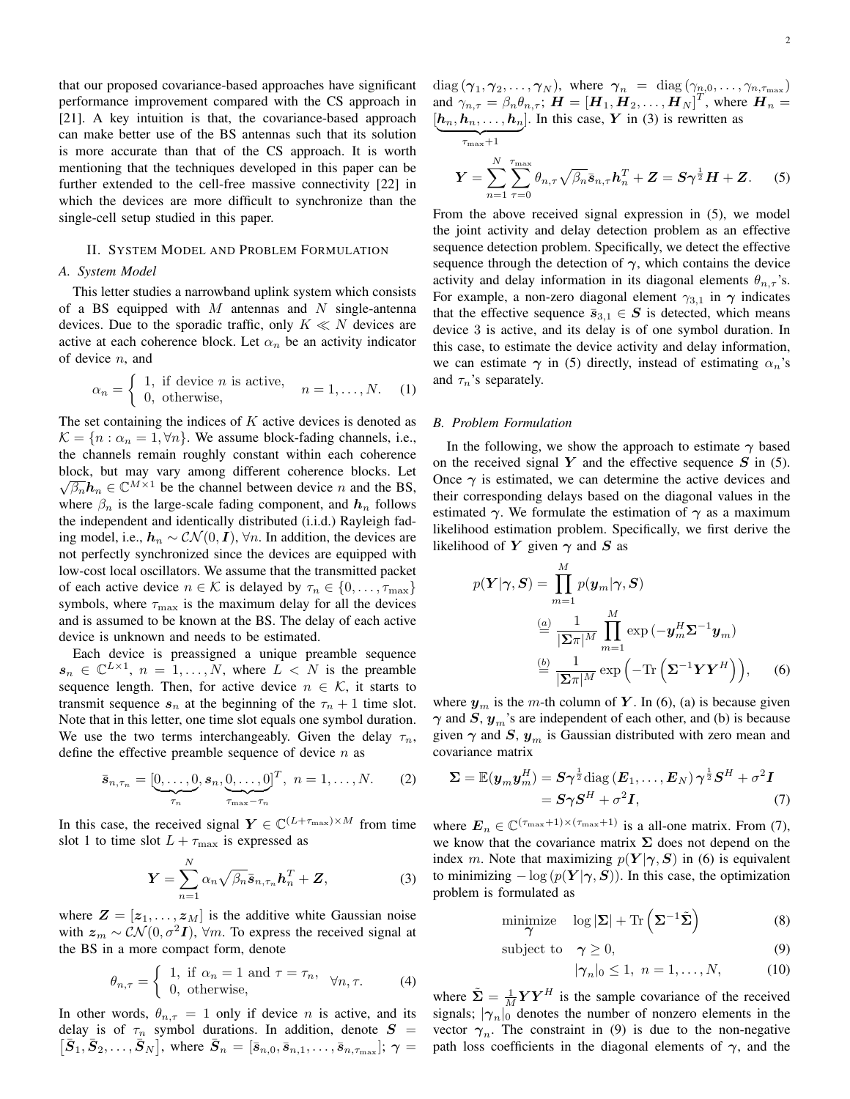that our proposed covariance-based approaches have significant performance improvement compared with the CS approach in [\[21\]](#page-4-11). A key intuition is that, the covariance-based approach can make better use of the BS antennas such that its solution is more accurate than that of the CS approach. It is worth mentioning that the techniques developed in this paper can be further extended to the cell-free massive connectivity [\[22\]](#page-4-12) in which the devices are more difficult to synchronize than the single-cell setup studied in this paper.

# II. SYSTEM MODEL AND PROBLEM FORMULATION

### *A. System Model*

This letter studies a narrowband uplink system which consists of a BS equipped with  $M$  antennas and  $N$  single-antenna devices. Due to the sporadic traffic, only  $K \ll N$  devices are active at each coherence block. Let  $\alpha_n$  be an activity indicator of device n, and

$$
\alpha_n = \begin{cases} 1, & \text{if device } n \text{ is active,} \\ 0, & \text{otherwise,} \end{cases} \quad n = 1, \dots, N. \quad (1)
$$

The set containing the indices of  $K$  active devices is denoted as  $\mathcal{K} = \{n : \alpha_n = 1, \forall n\}.$  We assume block-fading channels, i.e., the channels remain roughly constant within each coherence block, but may vary among different coherence blocks. Let  $\sqrt{\beta_n}h_n \in \mathbb{C}^{M \times 1}$  be the channel between device n and the BS, where  $\beta_n$  is the large-scale fading component, and  $h_n$  follows the independent and identically distributed (i.i.d.) Rayleigh fading model, i.e.,  $h_n \sim \mathcal{CN}(0, I)$ , ∀n. In addition, the devices are not perfectly synchronized since the devices are equipped with low-cost local oscillators. We assume that the transmitted packet of each active device  $n \in \mathcal{K}$  is delayed by  $\tau_n \in \{0, \ldots, \tau_{\text{max}}\}\$ symbols, where  $\tau_{\text{max}}$  is the maximum delay for all the devices and is assumed to be known at the BS. The delay of each active device is unknown and needs to be estimated.

Each device is preassigned a unique preamble sequence  $s_n \in \mathbb{C}^{L \times 1}$ ,  $n = 1, ..., N$ , where  $L < N$  is the preamble sequence length. Then, for active device  $n \in \mathcal{K}$ , it starts to transmit sequence  $s_n$  at the beginning of the  $\tau_n + 1$  time slot. Note that in this letter, one time slot equals one symbol duration. We use the two terms interchangeably. Given the delay  $\tau_n$ , define the effective preamble sequence of device  $n$  as

$$
\bar{\boldsymbol{s}}_{n,\tau_n} = [\underbrace{0,\ldots,0}_{\tau_n}, \boldsymbol{s}_n, \underbrace{0,\ldots,0}_{\tau_{\text{max}}-\tau_n}]^T, \ n = 1,\ldots,N. \tag{2}
$$

In this case, the received signal  $Y \in \mathbb{C}^{(L+\tau_{\text{max}}) \times M}$  from time slot 1 to time slot  $L + \tau_{\text{max}}$  is expressed as

$$
\boldsymbol{Y} = \sum_{n=1}^{N} \alpha_n \sqrt{\beta_n} \bar{\boldsymbol{s}}_{n,\tau_n} \boldsymbol{h}_n^T + \boldsymbol{Z},
$$
 (3)

where  $\mathbf{Z} = [\mathbf{z}_1, \dots, \mathbf{z}_M]$  is the additive white Gaussian noise with  $z_m \sim \mathcal{CN}(0, \sigma^2 I)$ ,  $\forall m$ . To express the received signal at the BS in a more compact form, denote

<span id="page-1-7"></span>
$$
\theta_{n,\tau} = \begin{cases} 1, & \text{if } \alpha_n = 1 \text{ and } \tau = \tau_n, \\ 0, & \text{otherwise,} \end{cases} \quad \forall n, \tau. \tag{4}
$$

In other words,  $\theta_{n,\tau} = 1$  only if device *n* is active, and its delay is of  $\tau_n$  symbol durations. In addition, denote  $S =$  $\left[\bar{S}_1, \bar{S}_2, \ldots, \bar{S}_N\right]$ , where  $\bar{S}_n = \left[\bar{s}_{n,0}, \bar{s}_{n,1}, \ldots, \bar{s}_{n,\tau_{\text{max}}} \right]$ ;  $\gamma =$   $diag(\gamma_1, \gamma_2, \dots, \gamma_N)$ , where  $\gamma_n = diag(\gamma_{n,0}, \dots, \gamma_{n,\tau_{\max}})$ and  $\gamma_{n,\tau} = \beta_n \theta_{n,\tau}$ ;  $\boldsymbol{H} = [\boldsymbol{H}_1, \boldsymbol{H}_2, \dots, \boldsymbol{H}_N]^T$ , where  $\boldsymbol{H}_n =$  $[h_n, h_n, \ldots, h_n]$ . In this case, Y in [\(3\)](#page-1-0) is rewritten as  $\frac{1}{\tau_{\max}+1}$ 

<span id="page-1-1"></span>
$$
\boldsymbol{Y} = \sum_{n=1}^{N} \sum_{\tau=0}^{\tau_{\text{max}}} \theta_{n,\tau} \sqrt{\beta_n} \bar{\boldsymbol{s}}_{n,\tau} \boldsymbol{h}_n^T + \boldsymbol{Z} = \boldsymbol{S} \boldsymbol{\gamma}^{\frac{1}{2}} \boldsymbol{H} + \boldsymbol{Z}.
$$
 (5)

From the above received signal expression in [\(5\)](#page-1-1), we model the joint activity and delay detection problem as an effective sequence detection problem. Specifically, we detect the effective sequence through the detection of  $\gamma$ , which contains the device activity and delay information in its diagonal elements  $\theta_{n,\tau}$ 's. For example, a non-zero diagonal element  $\gamma_{3,1}$  in  $\gamma$  indicates that the effective sequence  $\bar{s}_{3,1} \in S$  is detected, which means device 3 is active, and its delay is of one symbol duration. In this case, to estimate the device activity and delay information, we can estimate  $\gamma$  in [\(5\)](#page-1-1) directly, instead of estimating  $\alpha_n$ 's and  $\tau_n$ 's separately.

#### *B. Problem Formulation*

In the following, we show the approach to estimate  $\gamma$  based on the received signal Y and the effective sequence  $S$  in [\(5\)](#page-1-1). Once  $\gamma$  is estimated, we can determine the active devices and their corresponding delays based on the diagonal values in the estimated  $\gamma$ . We formulate the estimation of  $\gamma$  as a maximum likelihood estimation problem. Specifically, we first derive the likelihood of Y given  $\gamma$  and S as

<span id="page-1-2"></span>
$$
p(\mathbf{Y}|\boldsymbol{\gamma}, \mathbf{S}) = \prod_{m=1}^{M} p(\mathbf{y}_m|\boldsymbol{\gamma}, \mathbf{S})
$$

$$
\stackrel{(a)}{=} \frac{1}{|\mathbf{\Sigma}\pi|^M} \prod_{m=1}^{M} \exp(-\mathbf{y}_m^H \mathbf{\Sigma}^{-1} \mathbf{y}_m)
$$

$$
\stackrel{(b)}{=} \frac{1}{|\mathbf{\Sigma}\pi|^M} \exp(-\text{Tr}\left(\mathbf{\Sigma}^{-1} \mathbf{Y} \mathbf{Y}^H\right)), \quad (6)
$$

where  $y_m$  is the m-th column of Y. In [\(6\)](#page-1-2), (a) is because given  $\gamma$  and S,  $y_m$ 's are independent of each other, and (b) is because given  $\gamma$  and  $S$ ,  $y_m$  is Gaussian distributed with zero mean and covariance matrix

$$
\Sigma = \mathbb{E}(\boldsymbol{y}_m \boldsymbol{y}_m^H) = \boldsymbol{S} \boldsymbol{\gamma}^{\frac{1}{2}} \text{diag}(\boldsymbol{E}_1, \dots, \boldsymbol{E}_N) \boldsymbol{\gamma}^{\frac{1}{2}} \boldsymbol{S}^H + \sigma^2 \boldsymbol{I}
$$
  
=  $\boldsymbol{S} \boldsymbol{\gamma} \boldsymbol{S}^H + \sigma^2 \boldsymbol{I},$  (7)

<span id="page-1-0"></span>where  $\mathbf{E}_n \in \mathbb{C}^{(\tau_{\text{max}}+1) \times (\tau_{\text{max}}+1)}$  is a all-one matrix. From [\(7\)](#page-1-3), we know that the covariance matrix  $\Sigma$  does not depend on the index m. Note that maximizing  $p(Y|\gamma, S)$  in [\(6\)](#page-1-2) is equivalent to minimizing  $-\log (p(Y|\gamma, S))$ . In this case, the optimization problem is formulated as

$$
\underset{\gamma}{\text{minimize}} \quad \log |\Sigma| + \text{Tr}\left(\Sigma^{-1}\tilde{\Sigma}\right) \tag{8}
$$

subject to 
$$
\gamma \ge 0
$$
, (9)

<span id="page-1-6"></span><span id="page-1-5"></span><span id="page-1-4"></span><span id="page-1-3"></span>
$$
|\gamma_n|_0 \le 1, \ n = 1, \dots, N,\tag{10}
$$

where  $\tilde{\Sigma} = \frac{1}{M} \boldsymbol{Y} \boldsymbol{Y}^H$  is the sample covariance of the received signals;  $|\gamma_n|_0$  denotes the number of nonzero elements in the vector  $\gamma_n$ . The constraint in [\(9\)](#page-1-4) is due to the non-negative path loss coefficients in the diagonal elements of  $\gamma$ , and the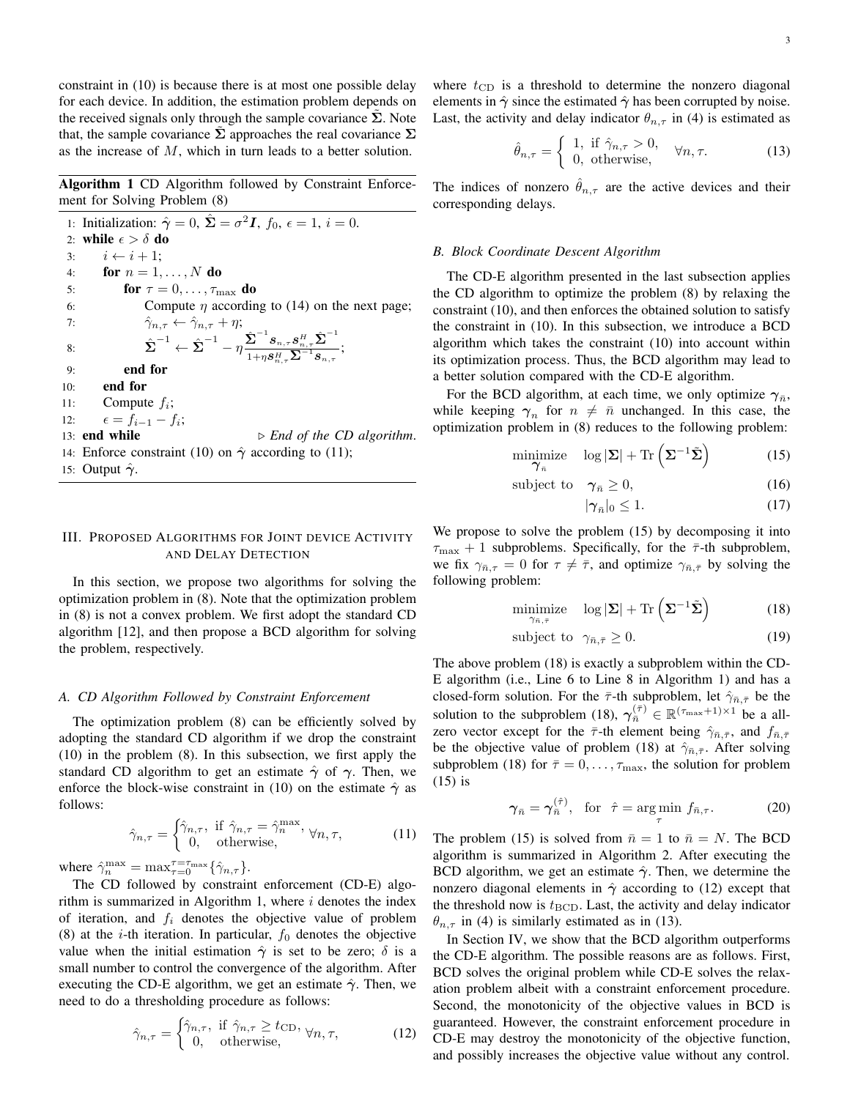constraint in [\(10\)](#page-1-5) is because there is at most one possible delay for each device. In addition, the estimation problem depends on the received signals only through the sample covariance  $\Sigma$ . Note that, the sample covariance  $\Sigma$  approaches the real covariance  $\Sigma$ as the increase of M, which in turn leads to a better solution.

<span id="page-2-1"></span>Algorithm 1 CD Algorithm followed by Constraint Enforcement for Solving Problem [\(8\)](#page-1-6)

1: Initialization:  $\hat{\gamma} = 0$ ,  $\hat{\Sigma} = \sigma^2 I$ ,  $f_0$ ,  $\epsilon = 1$ ,  $i = 0$ . 2: while  $\epsilon > \delta$  do 3:  $i \leftarrow i + 1$ ; 4: for  $n = 1, \ldots, N$  do 5: **for**  $\tau = 0, \ldots, \tau_{\text{max}}$  **do** 6: Compute  $\eta$  according to [\(14\)](#page-3-0) on the next page; 7:  $\hat{\gamma}_{n,\tau} \leftarrow \hat{\gamma}_{n,\tau} + \eta;$ 8:  $\hat{\Sigma}^{-1} \leftarrow \hat{\Sigma}^{-1} - \eta \frac{\hat{\Sigma}^{-1} s_{n,\tau} s_{n,\tau}^H \hat{\Sigma}^{-1}}{s_{n,\tau} s_{n,\tau}^H \hat{\Sigma}^{-1}}$  $\frac{\boldsymbol{\omega}}{1+\eta\boldsymbol{s}_{n,\tau}^H\boldsymbol{\Sigma}^{-1}\boldsymbol{s}_{n,\tau}};$ 9: end for 10: end for 11: Compute  $f_i$ ; 12:  $\epsilon = f_{i-1} - f_i;$ 13: **end while**  $\triangleright$  *End of the CD algorithm.* 14: Enforce constraint [\(10\)](#page-1-5) on  $\hat{\gamma}$  according to [\(11\)](#page-2-0); 15: Output  $\hat{\gamma}$ .

# III. PROPOSED ALGORITHMS FOR JOINT DEVICE ACTIVITY AND DELAY DETECTION

In this section, we propose two algorithms for solving the optimization problem in [\(8\)](#page-1-6). Note that the optimization problem in [\(8\)](#page-1-6) is not a convex problem. We first adopt the standard CD algorithm [\[12\]](#page-4-8), and then propose a BCD algorithm for solving the problem, respectively.

#### *A. CD Algorithm Followed by Constraint Enforcement*

The optimization problem [\(8\)](#page-1-6) can be efficiently solved by adopting the standard CD algorithm if we drop the constraint [\(10\)](#page-1-5) in the problem [\(8\)](#page-1-6). In this subsection, we first apply the standard CD algorithm to get an estimate  $\hat{\gamma}$  of  $\gamma$ . Then, we enforce the block-wise constraint in [\(10\)](#page-1-5) on the estimate  $\hat{\gamma}$  as follows:

$$
\hat{\gamma}_{n,\tau} = \begin{cases} \hat{\gamma}_{n,\tau}, & \text{if } \hat{\gamma}_{n,\tau} = \hat{\gamma}_n^{\text{max}}, \\ 0, & \text{otherwise}, \end{cases} \forall n, \tau,
$$
 (11)

where  $\hat{\gamma}_n^{\max} = \max_{\tau=0}^{\tau=\tau_{\max}} {\hat{\gamma}_{n,\tau}}$ .

The CD followed by constraint enforcement (CD-E) algo-rithm is summarized in Algorithm [1,](#page-2-1) where  $i$  denotes the index of iteration, and  $f_i$  denotes the objective value of problem [\(8\)](#page-1-6) at the *i*-th iteration. In particular,  $f_0$  denotes the objective value when the initial estimation  $\hat{\gamma}$  is set to be zero;  $\delta$  is a small number to control the convergence of the algorithm. After executing the CD-E algorithm, we get an estimate  $\hat{\gamma}$ . Then, we need to do a thresholding procedure as follows:

$$
\hat{\gamma}_{n,\tau} = \begin{cases} \hat{\gamma}_{n,\tau}, & \text{if } \hat{\gamma}_{n,\tau} \ge t_{\text{CD}}, \\ 0, & \text{otherwise}, \end{cases} \forall n, \tau,
$$
 (12)

where  $t_{\text{CD}}$  is a threshold to determine the nonzero diagonal elements in  $\hat{\gamma}$  since the estimated  $\hat{\gamma}$  has been corrupted by noise. Last, the activity and delay indicator  $\theta_{n,\tau}$  in [\(4\)](#page-1-7) is estimated as

<span id="page-2-5"></span>
$$
\hat{\theta}_{n,\tau} = \begin{cases} 1, & \text{if } \hat{\gamma}_{n,\tau} > 0, \\ 0, & \text{otherwise,} \end{cases} \quad \forall n,\tau. \tag{13}
$$

The indices of nonzero  $\hat{\theta}_{n,\tau}$  are the active devices and their corresponding delays.

#### *B. Block Coordinate Descent Algorithm*

The CD-E algorithm presented in the last subsection applies the CD algorithm to optimize the problem [\(8\)](#page-1-6) by relaxing the constraint [\(10\)](#page-1-5), and then enforces the obtained solution to satisfy the constraint in [\(10\)](#page-1-5). In this subsection, we introduce a BCD algorithm which takes the constraint [\(10\)](#page-1-5) into account within its optimization process. Thus, the BCD algorithm may lead to a better solution compared with the CD-E algorithm.

For the BCD algorithm, at each time, we only optimize  $\gamma_{\bar{n}}$ , while keeping  $\gamma_n$  for  $n \neq \overline{n}$  unchanged. In this case, the optimization problem in [\(8\)](#page-1-6) reduces to the following problem:

$$
\underset{\boldsymbol{\gamma}_n}{\text{minimize}} \quad \log |\boldsymbol{\Sigma}| + \text{Tr}\left(\boldsymbol{\Sigma}^{-1}\tilde{\boldsymbol{\Sigma}}\right) \tag{15}
$$

$$
subject to \quad \gamma_{\bar{n}} \ge 0,
$$
\n<sup>(16)</sup>

<span id="page-2-3"></span><span id="page-2-2"></span>
$$
|\gamma_{\bar{n}}|_0 \le 1. \tag{17}
$$

We propose to solve the problem [\(15\)](#page-2-2) by decomposing it into  $\tau_{\text{max}} + 1$  subproblems. Specifically, for the  $\bar{\tau}$ -th subproblem, we fix  $\gamma_{\bar{n},\tau} = 0$  for  $\tau \neq \bar{\tau}$ , and optimize  $\gamma_{\bar{n},\bar{\tau}}$  by solving the following problem:

$$
\underset{\gamma_{n,\tau}}{\text{minimize}} \quad \log |\Sigma| + \text{Tr}\left(\Sigma^{-1}\tilde{\Sigma}\right) \tag{18}
$$

$$
subject to \ \gamma_{\bar{n},\bar{\tau}} \ge 0. \tag{19}
$$

The above problem [\(18\)](#page-2-3) is exactly a subproblem within the CD-E algorithm (i.e., Line [6](#page-2-1) to Line [8](#page-2-1) in Algorithm [1\)](#page-2-1) and has a closed-form solution. For the  $\bar{\tau}$ -th subproblem, let  $\hat{\gamma}_{\bar{n},\bar{\tau}}$  be the solution to the subproblem [\(18\)](#page-2-3),  $\gamma_{\bar{n}}^{(\bar{\tau})} \in \mathbb{R}^{(\tau_{\text{max}}+1)\times 1}$  be a allzero vector except for the  $\bar{\tau}$ -th element being  $\hat{\gamma}_{\bar{n},\bar{\tau}}$ , and  $f_{\bar{n},\bar{\tau}}$ be the objective value of problem [\(18\)](#page-2-3) at  $\hat{\gamma}_{\bar{n},\bar{\tau}}$ . After solving subproblem [\(18\)](#page-2-3) for  $\bar{\tau} = 0, \ldots, \tau_{\text{max}}$ , the solution for problem [\(15\)](#page-2-2) is

<span id="page-2-6"></span>
$$
\gamma_{\bar{n}} = \gamma_{\bar{n}}^{(\hat{\tau})}, \quad \text{for} \quad \hat{\tau} = \underset{\tau}{\text{arg min}} \ f_{\bar{n},\tau}.
$$
 (20)

<span id="page-2-0"></span>The problem [\(15\)](#page-2-2) is solved from  $\bar{n}=1$  to  $\bar{n}=N$ . The BCD algorithm is summarized in Algorithm [2.](#page-3-1) After executing the BCD algorithm, we get an estimate  $\hat{\gamma}$ . Then, we determine the nonzero diagonal elements in  $\hat{\gamma}$  according to [\(12\)](#page-2-4) except that the threshold now is  $t_{\text{BCD}}$ . Last, the activity and delay indicator  $\theta_{n,\tau}$  in [\(4\)](#page-1-7) is similarly estimated as in [\(13\)](#page-2-5).

<span id="page-2-4"></span>In Section [IV,](#page-3-2) we show that the BCD algorithm outperforms the CD-E algorithm. The possible reasons are as follows. First, BCD solves the original problem while CD-E solves the relaxation problem albeit with a constraint enforcement procedure. Second, the monotonicity of the objective values in BCD is guaranteed. However, the constraint enforcement procedure in CD-E may destroy the monotonicity of the objective function, and possibly increases the objective value without any control.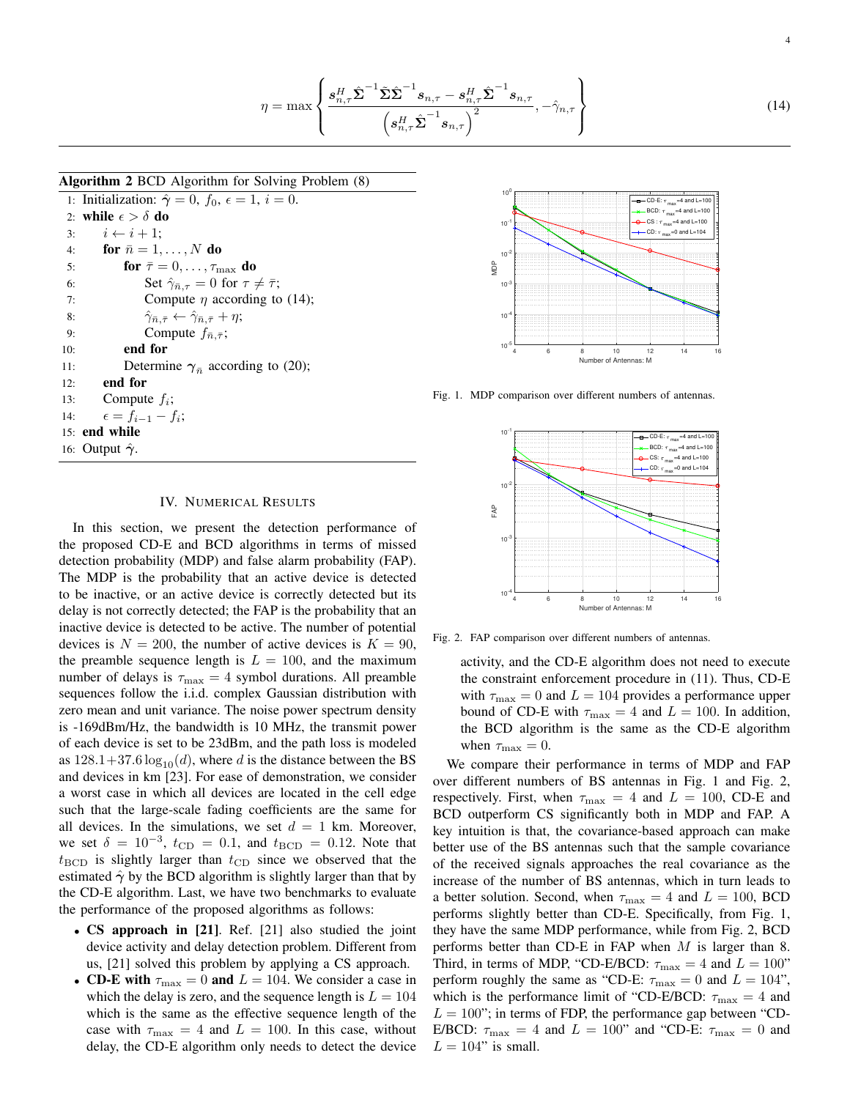<span id="page-3-0"></span>
$$
\eta = \max \left\{ \frac{\boldsymbol{s}_{n,\tau}^H \hat{\boldsymbol{\Sigma}}^{-1} \tilde{\boldsymbol{\Sigma}} \hat{\boldsymbol{\Sigma}}^{-1} \boldsymbol{s}_{n,\tau} - \boldsymbol{s}_{n,\tau}^H \hat{\boldsymbol{\Sigma}}^{-1} \boldsymbol{s}_{n,\tau}}{\left(\boldsymbol{s}_{n,\tau}^H \hat{\boldsymbol{\Sigma}}^{-1} \boldsymbol{s}_{n,\tau}\right)^2}, -\hat{\gamma}_{n,\tau} \right\}
$$
(14)

# <span id="page-3-1"></span>Algorithm 2 BCD Algorithm for Solving Problem [\(8\)](#page-1-6)

1: Initialization:  $\hat{\gamma} = 0$ ,  $f_0$ ,  $\epsilon = 1$ ,  $i = 0$ . 2: while  $\epsilon > \delta$  do 3:  $i \leftarrow i + 1$ ; 4: **for**  $\bar{n} = 1, \ldots, N$  do 5: **for**  $\bar{\tau} = 0, \ldots, \tau_{\text{max}}$  **do** 6: Set  $\hat{\gamma}_{\bar{n},\tau} = 0$  for  $\tau \neq \bar{\tau}$ ; 7: Compute  $\eta$  according to [\(14\)](#page-3-0); 8:  $\hat{\gamma}_{\bar{n},\bar{\tau}} \leftarrow \hat{\gamma}_{\bar{n},\bar{\tau}} + \eta;$ 9: Compute  $f_{\bar{n}, \bar{\tau}}$ ; 10: end for 11: Determine  $\gamma_{\bar{n}}$  according to [\(20\)](#page-2-6); 12: end for 13: Compute  $f_i$ ; 14:  $\epsilon = f_{i-1} - f_i;$ 15: end while 16: Output  $\hat{\gamma}$ .

# <span id="page-3-2"></span>IV. NUMERICAL RESULTS

In this section, we present the detection performance of the proposed CD-E and BCD algorithms in terms of missed detection probability (MDP) and false alarm probability (FAP). The MDP is the probability that an active device is detected to be inactive, or an active device is correctly detected but its delay is not correctly detected; the FAP is the probability that an inactive device is detected to be active. The number of potential devices is  $N = 200$ , the number of active devices is  $K = 90$ , the preamble sequence length is  $L = 100$ , and the maximum number of delays is  $\tau_{\text{max}} = 4$  symbol durations. All preamble sequences follow the i.i.d. complex Gaussian distribution with zero mean and unit variance. The noise power spectrum density is -169dBm/Hz, the bandwidth is 10 MHz, the transmit power of each device is set to be 23dBm, and the path loss is modeled as  $128.1+37.6 \log_{10}(d)$ , where d is the distance between the BS and devices in km [\[23\]](#page-4-13). For ease of demonstration, we consider a worst case in which all devices are located in the cell edge such that the large-scale fading coefficients are the same for all devices. In the simulations, we set  $d = 1$  km. Moreover, we set  $\delta = 10^{-3}$ ,  $t_{\text{CD}} = 0.1$ , and  $t_{\text{BCD}} = 0.12$ . Note that  $t_{\text{BCD}}$  is slightly larger than  $t_{\text{CD}}$  since we observed that the estimated  $\hat{\gamma}$  by the BCD algorithm is slightly larger than that by the CD-E algorithm. Last, we have two benchmarks to evaluate the performance of the proposed algorithms as follows: **EVALUATION CONFIRENT CONSULTS And CONSULTS AND CONFIRENT CONSULTS AND CONFIRENT CONSULTS AND CONFIRENT CONFIRENT CONFIRENT CONSULTS AND CONFIRENT CONFIRENT CONFIRENT CONFIRENT CONFIRENT CONFIRENT CONFIRENT CONFIRENT CONF** 

- CS approach in [\[21\]](#page-4-11). Ref. [\[21\]](#page-4-11) also studied the joint device activity and delay detection problem. Different from us, [\[21\]](#page-4-11) solved this problem by applying a CS approach.
- CD-E with  $\tau_{\text{max}} = 0$  and  $L = 104$ . We consider a case in which the delay is zero, and the sequence length is  $L = 104$ which is the same as the effective sequence length of the case with  $\tau_{\text{max}} = 4$  and  $L = 100$ . In this case, without



Fig. 1. MDP comparison over different numbers of antennas.

<span id="page-3-3"></span>

Fig. 2. FAP comparison over different numbers of antennas.

<span id="page-3-4"></span>activity, and the CD-E algorithm does not need to execute the constraint enforcement procedure in [\(11\)](#page-2-0). Thus, CD-E with  $\tau_{\text{max}} = 0$  and  $L = 104$  provides a performance upper bound of CD-E with  $\tau_{\text{max}} = 4$  and  $L = 100$ . In addition, the BCD algorithm is the same as the CD-E algorithm when  $\tau_{\text{max}} = 0$ .

We compare their performance in terms of MDP and FAP over different numbers of BS antennas in Fig. [1](#page-3-3) and Fig. [2,](#page-3-4) respectively. First, when  $\tau_{\text{max}} = 4$  and  $L = 100$ , CD-E and BCD outperform CS significantly both in MDP and FAP. A key intuition is that, the covariance-based approach can make better use of the BS antennas such that the sample covariance of the received signals approaches the real covariance as the increase of the number of BS antennas, which in turn leads to a better solution. Second, when  $\tau_{\text{max}} = 4$  and  $L = 100$ , BCD performs slightly better than CD-E. Specifically, from Fig. [1,](#page-3-3) they have the same MDP performance, while from Fig. [2,](#page-3-4) BCD performs better than CD-E in FAP when  $M$  is larger than 8. Third, in terms of MDP, "CD-E/BCD:  $\tau_{\text{max}} = 4$  and  $L = 100$ " perform roughly the same as "CD-E:  $\tau_{\text{max}} = 0$  and  $L = 104$ ", which is the performance limit of "CD-E/BCD:  $\tau_{\text{max}} = 4$  and  $L = 100$ "; in terms of FDP, the performance gap between "CD-E/BCD:  $\tau_{\text{max}} = 4$  and  $L = 100$ " and "CD-E:  $\tau_{\text{max}} = 0$  and  $L = 104$ " is small.